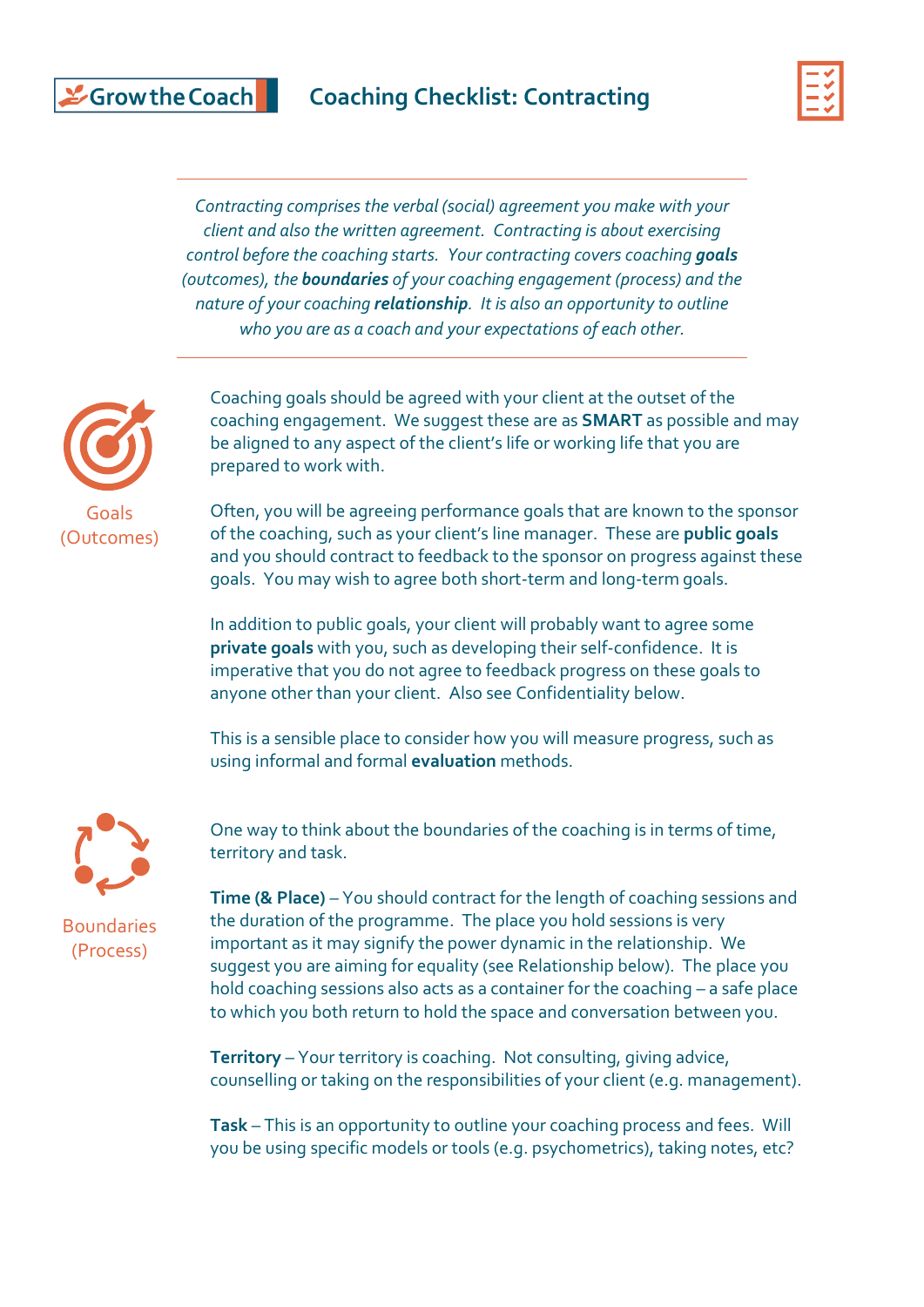## Scrow the Coach

### **Coaching Checklist: Contracting**



*Contracting comprises the verbal (social) agreement you make with your client and also the written agreement. Contracting is about exercising control before the coaching starts. Your contracting covers coaching goals (outcomes), the boundaries of your coaching engagement (process) and the nature of your coaching relationship. It is also an opportunity to outline who you are as a coach and your expectations of each other.*



Coaching goals should be agreed with your client at the outset of the coaching engagement. We suggest these are as **SMART** as possible and may be aligned to any aspect of the client's life or working life that you are prepared to work with.

Often, you will be agreeing performance goals that are known to the sponsor of the coaching, such as your client's line manager. These are **public goals** and you should contract to feedback to the sponsor on progress against these goals. You may wish to agree both short-term and long-term goals.

In addition to public goals, your client will probably want to agree some **private goals** with you, such as developing their self-confidence. It is imperative that you do not agree to feedback progress on these goals to anyone other than your client. Also see Confidentiality below.

This is a sensible place to consider how you will measure progress, such as using informal and formal **evaluation** methods.



One way to think about the boundaries of the coaching is in terms of time, territory and task.

**Boundaries** (Process)

**Time (& Place)** – You should contract for the length of coaching sessions and the duration of the programme. The place you hold sessions is very important as it may signify the power dynamic in the relationship. We suggest you are aiming for equality (see Relationship below). The place you hold coaching sessions also acts as a container for the coaching – a safe place to which you both return to hold the space and conversation between you.

**Territory** – Your territory is coaching. Not consulting, giving advice, counselling or taking on the responsibilities of your client (e.g. management).

**Task** – This is an opportunity to outline your coaching process and fees. Will you be using specific models or tools (e.g. psychometrics), taking notes, etc?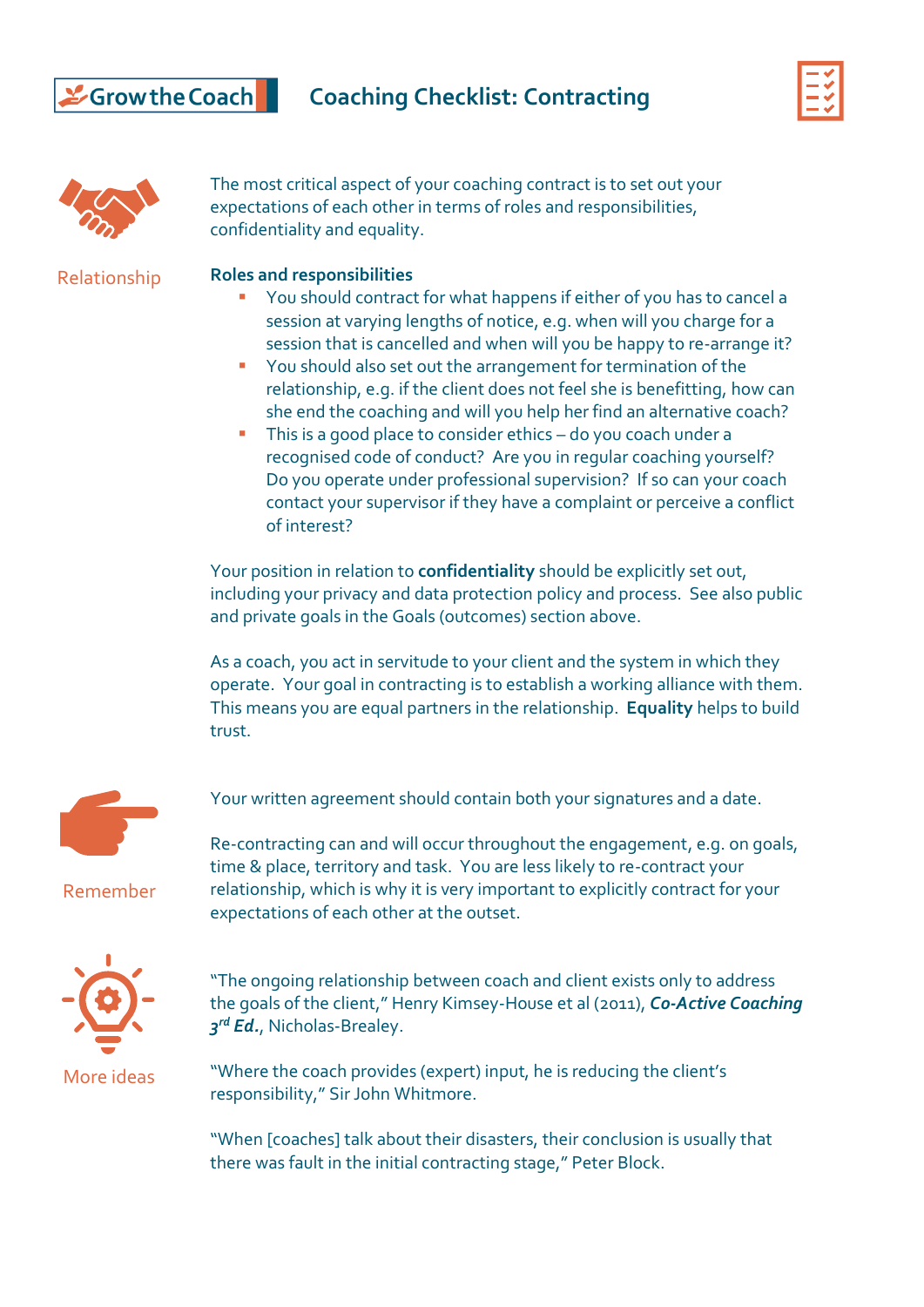### **Coaching Checklist: Contracting**





The most critical aspect of your coaching contract is to set out your expectations of each other in terms of roles and responsibilities, confidentiality and equality.

Relationship

#### **Roles and responsibilities**

- You should contract for what happens if either of you has to cancel a session at varying lengths of notice, e.g. when will you charge for a session that is cancelled and when will you be happy to re-arrange it?
- You should also set out the arrangement for termination of the relationship, e.g. if the client does not feel she is benefitting, how can she end the coaching and will you help her find an alternative coach?
- **·** This is a good place to consider ethics do you coach under a recognised code of conduct? Are you in regular coaching yourself? Do you operate under professional supervision? If so can your coach contact your supervisor if they have a complaint or perceive a conflict of interest?

Your position in relation to **confidentiality** should be explicitly set out, including your privacy and data protection policy and process. See also public and private goals in the Goals (outcomes) section above.

As a coach, you act in servitude to your client and the system in which they operate. Your goal in contracting is to establish a working alliance with them. This means you are equal partners in the relationship. **Equality** helps to build trust.



Your written agreement should contain both your signatures and a date.

time & place, territory and task. You are less likely to re-contract your relationship, which is why it is very important to explicitly contract for your

expectations of each other at the outset.

Re-contracting can and will occur throughout the engagement, e.g. on goals,

Remember



"The ongoing relationship between coach and client exists only to address the goals of the client," Henry Kimsey-House et al (2011), *Co-Active Coaching 3 rd Ed.*, Nicholas-Brealey.

"Where the coach provides (expert) input, he is reducing the client's responsibility," Sir John Whitmore.

"When [coaches] talk about their disasters, their conclusion is usually that there was fault in the initial contracting stage," Peter Block.